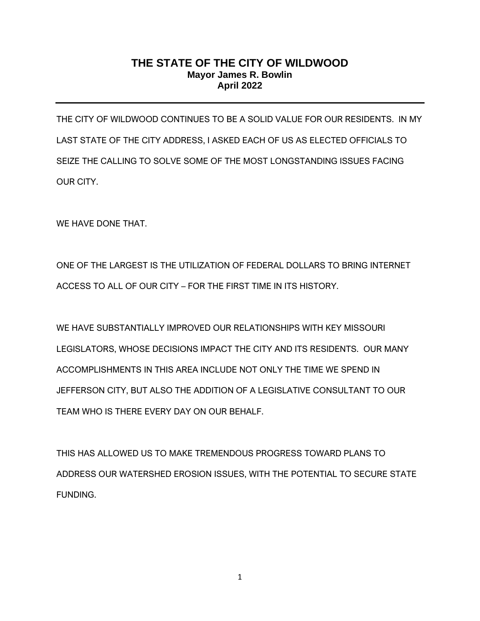## **THE STATE OF THE CITY OF WILDWOOD Mayor James R. Bowlin April 2022**

THE CITY OF WILDWOOD CONTINUES TO BE A SOLID VALUE FOR OUR RESIDENTS. IN MY LAST STATE OF THE CITY ADDRESS, I ASKED EACH OF US AS ELECTED OFFICIALS TO SEIZE THE CALLING TO SOLVE SOME OF THE MOST LONGSTANDING ISSUES FACING OUR CITY.

WE HAVE DONE THAT.

ONE OF THE LARGEST IS THE UTILIZATION OF FEDERAL DOLLARS TO BRING INTERNET ACCESS TO ALL OF OUR CITY – FOR THE FIRST TIME IN ITS HISTORY.

WE HAVE SUBSTANTIALLY IMPROVED OUR RELATIONSHIPS WITH KEY MISSOURI LEGISLATORS, WHOSE DECISIONS IMPACT THE CITY AND ITS RESIDENTS. OUR MANY ACCOMPLISHMENTS IN THIS AREA INCLUDE NOT ONLY THE TIME WE SPEND IN JEFFERSON CITY, BUT ALSO THE ADDITION OF A LEGISLATIVE CONSULTANT TO OUR TEAM WHO IS THERE EVERY DAY ON OUR BEHALF.

THIS HAS ALLOWED US TO MAKE TREMENDOUS PROGRESS TOWARD PLANS TO ADDRESS OUR WATERSHED EROSION ISSUES, WITH THE POTENTIAL TO SECURE STATE FUNDING.